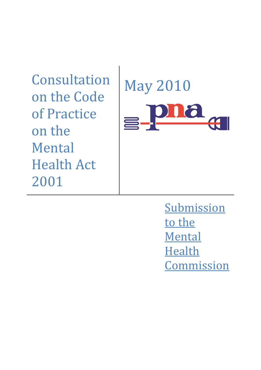Consultation on the Code of Practice on the Mental Health Act 2001



**Submission** to the Mental **Health** Commission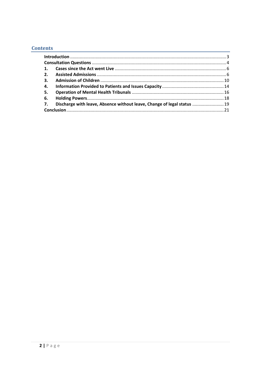# **Contents**

| 5. |                                                                            |  |
|----|----------------------------------------------------------------------------|--|
|    |                                                                            |  |
|    | 7. Discharge with leave, Absence without leave, Change of legal status  19 |  |
|    |                                                                            |  |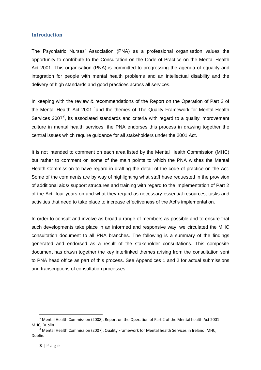#### <span id="page-2-0"></span>**Introduction**

The Psychiatric Nurses' Association (PNA) as a professional organisation values the opportunity to contribute to the Consultation on the Code of Practice on the Mental Health Act 2001. This organisation (PNA) is committed to progressing the agenda of equality and integration for people with mental health problems and an intellectual disability and the delivery of high standards and good practices across all services.

In keeping with the review & recommendations of the Report on the Operation of Part 2 of the Mental Health Act 2001 <sup>1</sup>and the themes of The Quality Framework for Mental Health Services 2007<sup>2</sup>, its associated standards and criteria with regard to a quality improvement culture in mental health services, the PNA endorses this process in drawing together the central issues which require guidance for all stakeholders under the 2001 Act.

It is not intended to comment on each area listed by the Mental Health Commission (MHC) but rather to comment on some of the main points to which the PNA wishes the Mental Health Commission to have regard in drafting the detail of the code of practice on the Act. Some of the comments are by way of highlighting what staff have requested in the provision of additional aids/ support structures and training with regard to the implementation of Part 2 of the Act -four years on and what they regard as necessary essential resources, tasks and activities that need to take place to increase effectiveness of the Act's implementation.

In order to consult and involve as broad a range of members as possible and to ensure that such developments take place in an informed and responsive way, we circulated the MHC consultation document to all PNA branches. The following is a summary of the findings generated and endorsed as a result of the stakeholder consultations. This composite document has drawn together the key interlinked themes arising from the consultation sent to PNA head office as part of this process. See Appendices 1 and 2 for actual submissions and transcriptions of consultation processes.

1

 $1$  Mental Health Commission (2008). Report on the Operation of Part 2 of the Mental health Act 2001 MHC, Dublin

<sup>&</sup>lt;sup>2</sup> Mental Health Commission (2007). Quality Framework for Mental health Services in Ireland. MHC, Dublin.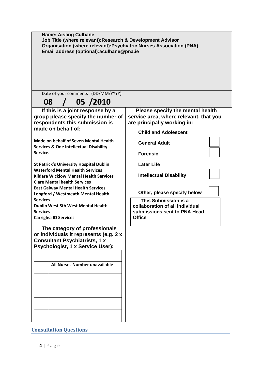| <b>Name: Aisling Culhane</b><br>Job Title (where relevant): Research & Development Advisor<br>Organisation (where relevant): Psychiatric Nurses Association (PNA)<br>Email address (optional): aculhane@pna.ie                                                                                                                                                                                                                                                                                                                                                                                                                                                                                                                                                                                                                                   |                                                                                                                                                                                                                                                                                                                                                                                       |  |  |  |
|--------------------------------------------------------------------------------------------------------------------------------------------------------------------------------------------------------------------------------------------------------------------------------------------------------------------------------------------------------------------------------------------------------------------------------------------------------------------------------------------------------------------------------------------------------------------------------------------------------------------------------------------------------------------------------------------------------------------------------------------------------------------------------------------------------------------------------------------------|---------------------------------------------------------------------------------------------------------------------------------------------------------------------------------------------------------------------------------------------------------------------------------------------------------------------------------------------------------------------------------------|--|--|--|
| Date of your comments (DD/MM/YYYY)<br>08 / 05 /2010                                                                                                                                                                                                                                                                                                                                                                                                                                                                                                                                                                                                                                                                                                                                                                                              |                                                                                                                                                                                                                                                                                                                                                                                       |  |  |  |
| If this is a joint response by a<br>group please specify the number of<br>respondents this submission is<br>made on behalf of:<br><b>Made on behalf of Seven Mental Health</b><br><b>Services &amp; One Intellectual Disability</b><br>Service.<br><b>St Patrick's University Hospital Dublin</b><br><b>Waterford Mental Health Services</b><br><b>Kildare Wicklow Mental Health Services</b><br><b>Clare Mental health Services</b><br><b>East Galway Mental Health Services</b><br><b>Longford / Westmeath Mental Health</b><br><b>Services</b><br><b>Dublin West Sth West Mental Health</b><br><b>Services</b><br><b>Carriglea ID Services</b><br>The category of professionals<br>or individuals it represents (e.g. 2 x<br><b>Consultant Psychiatrists, 1 x</b><br><b>Psychologist, 1 x Service User):</b><br>All Nurses Number unavailable | Please specify the mental health<br>service area, where relevant, that you<br>are principally working in:<br><b>Child and Adolescent</b><br><b>General Adult</b><br><b>Forensic</b><br><b>Later Life</b><br><b>Intellectual Disability</b><br>Other, please specify below<br>This Submission is a<br>collaboration of all individual<br>submissions sent to PNA Head<br><b>Office</b> |  |  |  |

# <span id="page-3-0"></span>**Consultation Questions**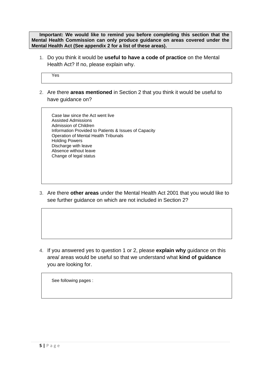**Important: We would like to remind you before completing this section that the Mental Health Commission can only produce guidance on areas covered under the Mental Health Act (See appendix 2 for a list of these areas).**

1. Do you think it would be **useful to have a code of practice** on the Mental Health Act? If no, please explain why.

Yes

2. Are there **areas mentioned** in Section 2 that you think it would be useful to have guidance on?

Case law since the Act went live Assisted Admissions Admission of Children Information Provided to Patients & Issues of Capacity Operation of Mental Health Tribunals Holding Powers Discharge with leave Absence without leave Change of legal status

3. Are there **other areas** under the Mental Health Act 2001 that you would like to see further guidance on which are not included in Section 2?

4. If you answered yes to question 1 or 2, please **explain why** guidance on this area/ areas would be useful so that we understand what **kind of guidance** you are looking for.

See following pages :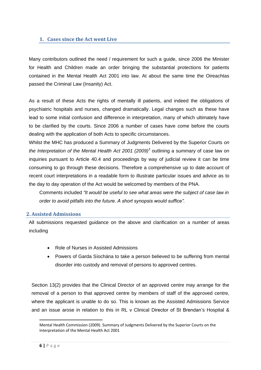# <span id="page-5-0"></span>**1. Cases since the Act went Live**

Many contributors outlined the need / requirement for such a guide, since 2006 the Minister for Health and Children made an order bringing the substantial protections for patients contained in the Mental Health Act 2001 into law. At about the same time the Oireachtas passed the Criminal Law (Insanity) Act.

As a result of these Acts the rights of mentally ill patients, and indeed the obligations of psychiatric hospitals and nurses, changed dramatically. Legal changes such as these have lead to some initial confusion and difference in interpretation, many of which ultimately have to be clarified by the courts. Since 2006 a number of cases have come before the courts dealing with the application of both Acts to specific circumstances.

Whilst the MHC has produced a Summary of Judgments Delivered by the Superior Courts *on the Interpretation of the Mental Health Act 2001 (2009)<sup>3</sup>* outlining a summary of case law on inquiries pursuant to Article 40.4 and proceedings by way of judicial review it can be time consuming to go through these decisions. Therefore a comprehensive up to date account of recent court interpretations in a readable form to illustrate particular issues and advice as to the day to day operation of the Act would be welcomed by members of the PNA.

Comments included *"It would be useful to see what areas were the subject of case law in order to avoid pitfalls into the future. A short synopsis would suffice".*

#### <span id="page-5-1"></span>**2. Assisted Admissions**

All submissions requested guidance on the above and clarification on a number of areas including

- Role of Nurses in Assisted Admissions
- Powers of Garda Síochána to take a person believed to be suffering from mental disorder into custody and removal of persons to approved centres.

Section 13(2) provides that the Clinical Director of an approved centre may arrange for the removal of a person to that approved centre by members of staff of the approved centre, where the applicant is unable to do so. This is known as the Assisted Admissions Service and an issue arose in relation to this in RL v Clinical Director of St Brendan's Hospital &

Mental Health Commission (2009). Summary of Judgments Delivered by the Superior Courts on the Interpretation of the Mental Health Act 2001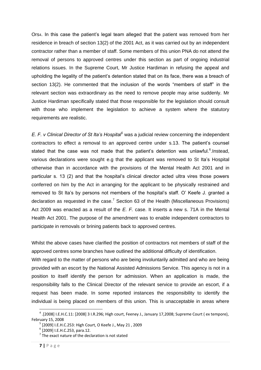Ors4. In this case the patient's legal team alleged that the patient was removed from her residence in breach of section 13(2) of the 2001 Act, as it was carried out by an independent contractor rather than a member of staff. Some members of this union PNA do not attend the removal of persons to approved centres under this section as part of ongoing industrial relations issues. In the Supreme Court, Mr Justice Hardiman in refusing the appeal and upholding the legality of the patient's detention stated that on its face, there was a breach of section 13(2). He commented that the inclusion of the words "members of staff" in the relevant section was extraordinary as the need to remove people may arise suddenly. Mr Justice Hardiman specifically stated that those responsible for the legislation should consult with those who implement the legislation to achieve a system where the statutory requirements are realistic.

*E. F. v Clinical Director of St Ita"s Hospital<sup>5</sup>* was a judicial review concerning the independent contractors to effect a removal to an approved centre under s.13. The patient's counsel stated that the case was not made that the patient's detention was unlawful.<sup>6</sup>.Instead, various declarations were sought e.g that the applicant was removed to St Ita's Hospital otherwise than in accordance with the provisions of the Mental Health Act 2001 and in particular s. 13 (2) and that the hospital's clinical director acted ultra vires those powers conferred on him by the Act in arranging for the applicant to be physically restrained and removed to St Ita's by persons not members of the hospital's staff. O' Keefe J. granted a declaration as requested in the case.<sup>7</sup> Section 63 of the Health (Miscellaneous Provisions) Act 2009 was enacted as a result of the *E. F.* case. It inserts a new s. 71A in the Mental Health Act 2001. The purpose of the amendment was to enable independent contractors to participate in removals or brining patients back to approved centres.

Whilst the above cases have clarified the position of contractors not members of staff of the approved centres some branches have outlined the additional difficulty of identification.

With regard to the matter of persons who are being involuntarily admitted and who are being provided with an escort by the National Assisted Admissions Service. This agency is not in a position to itself identify the person for admission. When an application is made, the responsibility falls to the Clinical Director of the relevant service to provide an escort, if a request has been made. In some reported instances the responsibility to identify the individual is being placed on members of this union. This is unacceptable in areas where

<sup>&</sup>lt;sup>4</sup> .[2008] I.E.H.C.11: [2008] 3 I.R.296; High court, Feeney J., January 17,2008; Supreme Court (ex tempore), February 15, 2008

<sup>5</sup> [2009] I.E.H.C.253: High Court, O Keefe J., May 21 , 2009

<sup>6</sup> [2009] I.E.H.C.253, para.12.

 $7$  The exact nature of the declaration is not stated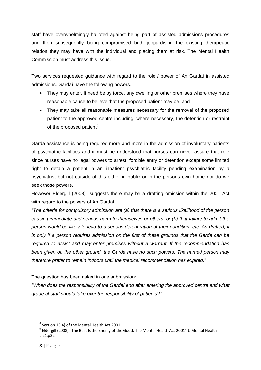staff have overwhelmingly balloted against being part of assisted admissions procedures and then subsequently being compromised both jeopardising the existing therapeutic relation they may have with the individual and placing them at risk. The Mental Health Commission must address this issue.

Two services requested guidance with regard to the role / power of An Gardaí in assisted admissions. Gardaí have the following powers.

- They may enter, if need be by force, any dwelling or other premises where they have reasonable cause to believe that the proposed patient may be, and
- They may take all reasonable measures necessary for the removal of the proposed patient to the approved centre including, where necessary, the detention or restraint of the proposed patient<sup>8</sup>.

Garda assistance is being required more and more in the admission of involuntary patients of psychiatric facilities and it must be understood that nurses can never assure that role since nurses have no legal powers to arrest, forcible entry or detention except some limited right to detain a patient in an inpatient psychiatric facility pending examination by a psychiatrist but not outside of this either in public or in the persons own home nor do we seek those powers.

However Eldergill (2008)<sup>9</sup> suggests there may be a drafting omission within the 2001 Act with regard to the powers of An Gardaí.

"*The criteria for compulsory admission are (a) that there is a serious likelihood of the person causing immediate and serious harm to themselves or others, or (b) that failure to admit the person would be likely to lead to a serious deterioration of their condition, etc. As drafted, it is only if a person requires admission on the first of these grounds that the Garda can be required to assist and may enter premises without a warrant. If the recommendation has been given on the other ground, the Garda have no such powers. The named person may therefore prefer to remain indoors until the medical recommendation has expired.*"

The question has been asked in one submission:

*"When does the responsibility of the Gardaí end after entering the approved centre and what grade of staff should take over the responsibility of patients?"*

 $^8$  Section 13(4) of the Mental Health Act 2001.

<sup>&</sup>lt;sup>9</sup> Eldergill (2008) "The Best Is the Enemy of the Good: The Mental Health Act 2001" J. Mental Health L.21,p32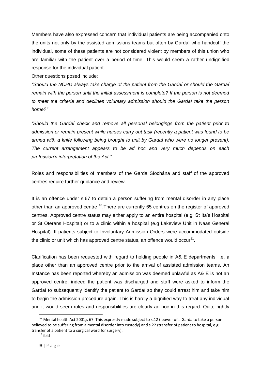Members have also expressed concern that individual patients are being accompanied onto the units not only by the assisted admissions teams but often by Gardaí who handcuff the individual, some of these patients are not considered violent by members of this union who are familiar with the patient over a period of time. This would seem a rather undignified response for the individual patient.

Other questions posed include:

*"Should the NCHD always take charge of the patient from the Gardaí or should the Gardaí remain with the person until the initial assessment is complete? If the person is not deemed to meet the criteria and declines voluntary admission should the Gardaí take the person home?"*

*"Should the Gardaí check and remove all personal belongings from the patient prior to admission or remain present while nurses carry out task (recently a patient was found to be armed with a knife following being brought to unit by Gardaí who were no longer present). The current arrangement appears to be ad hoc and very much depends on each profession"s interpretation of the Act."*

Roles and responsibilities of members of the Garda Síochána and staff of the approved centres require further guidance and review.

It is an offence under s.67 to detain a person suffering from mental disorder in any place other than an approved centre <sup>10</sup>. There are currently 65 centres on the register of approved centres. Approved centre status may either apply to an entire hospital (e.g. St Ita's Hospital or St Oterans Hospital) or to a clinic within a hospital (e.g Lakeview Unit in Naas General Hospital). If patients subject to Involuntary Admission Orders were accommodated outside the clinic or unit which has approved centre status, an offence would occur<sup>11</sup>.

Clarification has been requested with regard to holding people in A& E departments' i.e. a place other than an approved centre prior to the arrival of assisted admission teams. An Instance has been reported whereby an admission was deemed unlawful as A& E is not an approved centre, indeed the patient was discharged and staff were asked to inform the Gardaí to subsequently identify the patient to Gardaí so they could arrest him and take him to begin the admission procedure again. This is hardly a dignified way to treat any individual and it would seem roles and responsibilities are clearly ad hoc in this regard. Quite rightly

1

 $^{10}$  Mental health Act 2001,s 67. This expressly made subject to s.12 (power of a Garda to take a person believed to be suffering from a mental disorder into custody) and s.22 (transfer of patient to hospital, e.g. transfer of a patient to a surgical ward for surgery).

 $11$  ibid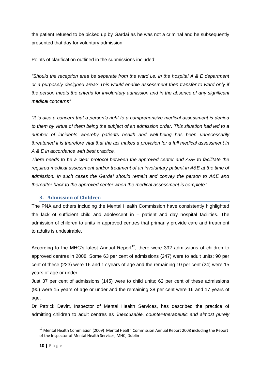the patient refused to be picked up by Gardaí as he was not a criminal and he subsequently presented that day for voluntary admission.

Points of clarification outlined in the submissions included:

*"Should the reception area be separate from the ward i.e. in the hospital A & E department or a purposely designed area? This would enable assessment then transfer to ward only if the person meets the criteria for involuntary admission and in the absence of any significant medical concerns".*

*"It is also a concern that a person"s right to a comprehensive medical assessment is denied to them by virtue of them being the subject of an admission order. This situation had led to a number of incidents whereby patients health and well-being has been unnecessarily threatened it is therefore vital that the act makes a provision for a full medical assessment in A & E in accordance with best practice.* 

*There needs to be a clear protocol between the approved center and A&E to facilitate the required medical assessment and/or treatment of an involuntary patient in A&E at the time of admission. In such cases the Gardaí should remain and convey the person to A&E and thereafter back to the approved center when the medical assessment is complete".*

#### <span id="page-9-0"></span>**3. Admission of Children**

The PNA and others including the Mental Health Commission have consistently highlighted the lack of sufficient child and adolescent in – patient and day hospital facilities. The admission of children to units in approved centres that primarily provide care and treatment to adults is undesirable.

According to the MHC's latest Annual Report<sup>12</sup>, there were 392 admissions of children to approved centres in 2008. Some 63 per cent of admissions (247) were to adult units; 90 per cent of these (223) were 16 and 17 years of age and the remaining 10 per cent (24) were 15 years of age or under.

Just 37 per cent of admissions (145) were to child units; 62 per cent of these admissions (90) were 15 years of age or under and the remaining 38 per cent were 16 and 17 years of age.

Dr Patrick Devitt, Inspector of Mental Health Services, has described the practice of admitting children to adult centres as *"inexcusable, counter-therapeutic and almost purely* 

 $\overline{a}$ 

<sup>&</sup>lt;sup>12</sup> Mental Health Commission (2009) Mental Health Commission Annual Report 2008 including the Report of the Inspector of Mental Health Services, MHC, Dublin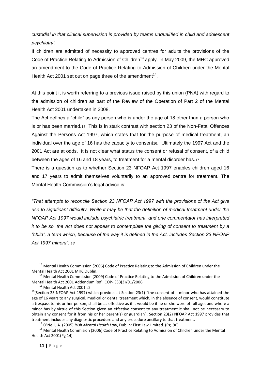*custodial in that clinical supervision is provided by teams unqualified in child and adolescent psychiatry".*

If children are admitted of necessity to approved centres for adults the provisions of the Code of Practice Relating to Admission of Children<sup>13</sup> apply. In May 2009, the MHC approved an amendment to the Code of Practice Relating to Admission of Children under the Mental Health Act 2001 set out on page three of the amendment<sup>14</sup>.

At this point it is worth referring to a previous issue raised by this union (PNA) with regard to the admission of children as part of the Review of the Operation of Part 2 of the Mental Health Act 2001 undertaken in 2008.

The Act defines a "child" as any person who is under the age of 18 other than a person who is or has been married.15 This is in stark contrast with section 23 of the Non-Fatal Offences Against the Persons Act 1997, which states that for the purpose of medical treatment, an individual over the age of 16 has the capacity to consent<sub>16</sub>. Ultimately the 1997 Act and the 2001 Act are at odds. It is not clear what status the consent or refusal of consent, of a child between the ages of 16 and 18 years, to treatment for a mental disorder has.17

There is a question as to whether Section 23 NFOAP Act 1997 enables children aged 16 and 17 years to admit themselves voluntarily to an approved centre for treatment. The Mental Health Commission's legal advice is:

*"That attempts to reconcile Section 23 NFOAP Act 1997 with the provisions of the Act give rise to significant difficulty. While it may be that the definition of medical treatment under the NFOAP Act 1997 would include psychiatric treatment, and one commentator has interpreted it to be so, the Act does not appear to contemplate the giving of consent to treatment by a "child", a term which, because of the way it is defined in the Act, includes Section 23 NFOAP Act 1997 minors". 18*

<sup>&</sup>lt;sup>13</sup> Mental Health Commission (2006) Code of Practice Relating to the Admission of Children under the Mental Health Act 2001 MHC Dublin.

 $14$  Mental Health Commission (2009) Code of Practice Relating to the Admission of Children under the Mental Health Act 2001 Addendum Ref : COP- S33(3)/01/2006

<sup>&</sup>lt;sup>15</sup> Mental Health Act 2001 s2

 $16$ (Section 23 NFOAP Act 1997) which provides at Section 23(1) "the consent of a minor who has attained the age of 16 years to any surgical, medical or dental treatment which, in the absence of consent, would constitute a trespass to his or her person, shall be as effective as if it would be if he or she were of full age; and where a minor has by virtue of this Section given an effective consent to any treatment it shall not be necessary to obtain any consent for it from his or her parent(s) or guardian". Section 23(2) NFOAP Act 1997 provides that treatment includes any diagnostic procedure and any procedure ancillary to that treatment.

<sup>17</sup> O'Neill, A. (2005) *Irish Mental Health Law*, Dublin: First Law Limited. (Pg. 90)

<sup>&</sup>lt;sup>18</sup> Mental Health Commision (2006) Code of Practice Relating to Admission of Children under the Mental Health Act 2001(Pg 14)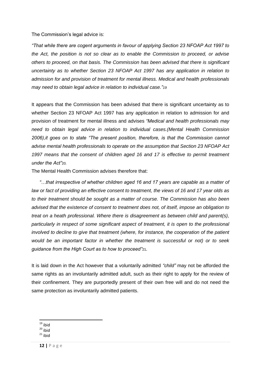The Commission's legal advice is:

*"That while there are cogent arguments in favour of applying Section 23 NFOAP Act 1997 to the Act, the position is not so clear as to enable the Commission to proceed, or advise others to proceed, on that basis. The Commission has been advised that there is significant uncertainty as to whether Section 23 NFOAP Act 1997 has any application in relation to admission for and provision of treatment for mental illness. Medical and health professionals may need to obtain legal advice in relation to individual case."19*

It appears that the Commission has been advised that there is significant uncertainty as to whether Section 23 NFOAP Act 1997 has any application in relation to admission for and provision of treatment for mental illness and advises *"Medical and health professionals may need to obtain legal advice in relation to individual cases.(Mental Health Commission 2006),it goes on to state "The present position, therefore, is that the Commission cannot advise mental health professionals to operate on the assumption that Section 23 NFOAP Act 1997 means that the consent of children aged 16 and 17 is effective to permit treatment under the Act"*20*.*

The Mental Health Commission advises therefore that:

*"…that irrespective of whether children aged 16 and 17 years are capable as a matter of law or fact of providing an effective consent to treatment, the views of 16 and 17 year olds as to their treatment should be sought as a matter of course. The Commission has also been advised that the existence of consent to treatment does not, of itself, impose an obligation to treat on a heath professional. Where there is disagreement as between child and parent(s), particularly in respect of some significant aspect of treatment, it is open to the professional involved to decline to give that treatment (where, for instance, the cooperation of the patient would be an important factor in whether the treatment is successful or not) or to seek guidance from the High Court as to how to proceed"*21*.*

It is laid down in the Act however that a voluntarily admitted *"child"* may not be afforded the same rights as an involuntarily admitted adult, such as their right to apply for the review of their confinement. They are purportedly present of their own free will and do not need the same protection as involuntarily admitted patients.

- **.**  $19$  ibid
- $^{16}$  ibid
- $21$  ibid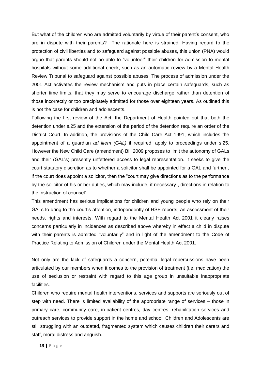But what of the children who are admitted voluntarily by virtue of their parent's consent, who are in dispute with their parents? The rationale here is strained. Having regard to the protection of civil liberties and to safeguard against possible abuses, this union (PNA) would argue that parents should not be able to "volunteer" their children for admission to mental hospitals without some additional check, such as an automatic review by a Mental Health Review Tribunal to safeguard against possible abuses. The process of admission under the 2001 Act activates the review mechanism and puts in place certain safeguards, such as shorter time limits, that they may serve to encourage discharge rather than detention of those incorrectly or too precipitately admitted for those over eighteen years. As outlined this is not the case for children and adolescents.

Following the first review of the Act, the Department of Health pointed out that both the detention under s.25 and the extension of the period of the detention require an order of the District Court. In addition, the provisions of the Child Care Act 1991, which includes the appointment of a guardian *ad litem (GAL)* if required, apply to proceedings under s.25. However the New Child Care (amendment) Bill 2009 proposes to limit the autonomy of GALs and their (GAL's) presently unfettered access to legal representation. It seeks to give the court statutory discretion as to whether a solicitor shall be appointed for a GAL and further , if the court does appoint a solicitor, then the "court may give directions as to the performance by the solicitor of his or her duties, which may include, if necessary , directions in relation to the instruction of counsel".

This amendment has serious implications for children and young people who rely on their GALs to bring to the court's attention, independently of HSE reports, an assessment of their needs, rights and interests. With regard to the Mental Health Act 2001 it clearly raises concerns particularly in incidences as described above whereby in effect a child in dispute with their parents is admitted "voluntarily" and in light of the amendment to the Code of Practice Relating to Admission of Children under the Mental Health Act 2001.

Not only are the lack of safeguards a concern, potential legal repercussions have been articulated by our members when it comes to the provision of treatment (i.e. medication) the use of seclusion or restraint with regard to this age group in unsuitable inappropriate facilities.

Children who require mental health interventions, services and supports are seriously out of step with need. There is limited availability of the appropriate range of services – those in primary care, community care, in-patient centres, day centres, rehabilitation services and outreach services to provide support in the home and school. Children and Adolescents are still struggling with an outdated, fragmented system which causes children their carers and staff, moral distress and anguish.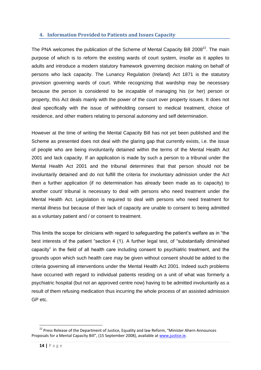### <span id="page-13-0"></span>**4. Information Provided to Patients and Issues Capacity**

The PNA welcomes the publication of the Scheme of Mental Capacity Bill 2008<sup>22</sup>. The main purpose of which is to reform the existing wards of court system, insofar as it applies to adults and introduce a modern statutory framework governing decision making on behalf of persons who lack capacity. The Lunancy Regulation (Ireland) Act 1871 is the statutory provision governing wards of court. While recognizing that wardship may be necessary because the person is considered to be incapable of managing his (or her) person or property, this Act deals mainly with the power of the court over property issues. It does not deal specifically with the issue of withholding consent to medical treatment, choice of residence, and other matters relating to personal autonomy and self determination.

However at the time of writing the Mental Capacity Bill has not yet been published and the Scheme as presented does not deal with the glaring gap that currently exists, i.e. the issue of people who are being involuntarily detained within the terms of the Mental Health Act 2001 and lack capacity. If an application is made by such a person to a tribunal under the Mental Health Act 2001 and the tribunal determines that that person should not be involuntarily detained and do not fulfill the criteria for involuntary admission under the Act then a further application (if no determination has already been made as to capacity) to another court/ tribunal is necessary to deal with persons who need treatment under the Mental Health Act. Legislation is required to deal with persons who need treatment for mental illness but because of their lack of capacity are unable to consent to being admitted as a voluntary patient and / or consent to treatment.

This limits the scope for clinicians with regard to safeguarding the patient's welfare as in "the best interests of the patient "section 4 (1). A further legal test, of "substantially diminished capacity" in the field of all health care including consent to psychiatric treatment, and the grounds upon which such health care may be given without consent should be added to the criteria governing all interventions under the Mental Health Act 2001. Indeed such problems have occurred with regard to individual patients residing on a unit of what was formerly a psychiatric hospital (but not an approved centre now) having to be admitted involuntarily as a result of them refusing medication thus incurring the whole process of an assisted admission GP etc.

 $\overline{a}$ <sup>22</sup> Press Release of the Department of Justice, Equality and law Reform, "Minister Ahern Announces Proposals for a Mental Capacity Bill", (15 September 2008), available a[t www.justice.ie.](http://www.justice.ie/)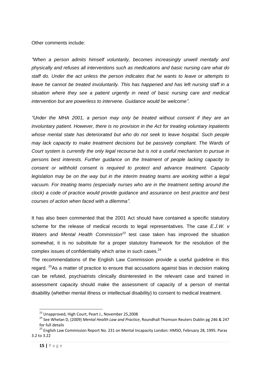Other comments include:

*"When a person admits himself voluntarily, becomes increasingly unwell mentally and physically and refuses all interventions such as medications and basic nursing care what do staff do. Under the act unless the person indicates that he wants to leave or attempts to*  leave he cannot be treated involuntarily. This has happened and has left nursing staff in a *situation where they see a patient urgently in need of basic nursing care and medical intervention but are powerless to intervene. Guidance would be welcome".*

*"Under the MHA 2001, a person may only be treated without consent if they are an involuntary patient. However, there is no provision in the Act for treating voluntary inpatients whose mental state has deteriorated but who do not seek to leave hospital. Such people may lack capacity to make treatment decisions but be passively compliant. The Wards of Court system is currently the only legal recourse but is not a useful mechanism to pursue in persons best interests. Further guidance on the treatment of people lacking capacity to consent or withhold consent is required to protect and advance treatment. Capacity legislation may be on the way but in the interim treating teams are working within a legal vacuum. For treating teams (especially nurses who are in the treatment setting around the clock) a code of practice would provide guidance and assurance on best practice and best courses of action when faced with a dilemma".* 

It has also been commented that the 2001 Act should have contained a specific statutory scheme for the release of medical records to legal representatives. The case *E.J.W. v Waters and Mental Health Commission<sup>23</sup>* test case taken has improved the situation somewhat, it is no substitute for a proper statutory framework for the resolution of the complex issues of confidentiality which arise in such cases. $24$ 

The recommendations of the English Law Commission provide a useful guideline in this regard. <sup>25</sup>As a matter of practice to ensure that accusations against bias in decision making can be refuted, psychiatrists clinically disinterested in the relevant case and trained in assessment capacity should make the assessment of capacity of a person of mental disability (whether mental illness or intellectual disability) to consent to medical treatment.

<sup>&</sup>lt;sup>23</sup> Unapproved, High Court, Peart J., November 25,2008

<sup>24</sup> See Whelan D, (2009) *Mental Health Law and Practice*, Roundhall Thomson Reuters Dublin pg 246 & 247 for full details

<sup>&</sup>lt;sup>25</sup> English Law Commission Report No. 231 on Mental Incapacity London: HMSO, February 28, 1995. Paras 3.2 to 3.22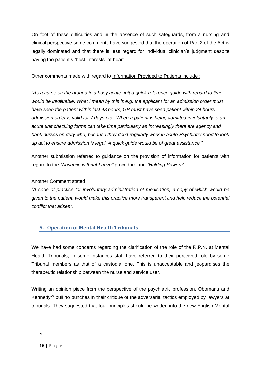On foot of these difficulties and in the absence of such safeguards, from a nursing and clinical perspective some comments have suggested that the operation of Part 2 of the Act is legally dominated and that there is less regard for individual clinician's judgment despite having the patient's "best interests" at heart.

Other comments made with regard to Information Provided to Patients include :

*"As a nurse on the ground in a busy acute unit a quick reference guide with regard to time would be invaluable. What I mean by this is e.g. the applicant for an admission order must have seen the patient within last 48 hours, GP must have seen patient within 24 hours, admission order is valid for 7 days etc. When a patient is being admitted involuntarily to an acute unit checking forms can take time particularly as increasingly there are agency and bank nurses on duty who, because they don"t regularly work in acute Psychiatry need to look up act to ensure admission is legal. A quick guide would be of great assistance."*

Another submission referred to guidance on the provision of information for patients with regard to the *"Absence without Leave"* procedure and *"Holding Powers".*

# Another Comment stated

*"A code of practice for involuntary administration of medication, a copy of which would be given to the patient, would make this practice more transparent and help reduce the potential conflict that arises".*

# <span id="page-15-0"></span>**5. Operation of Mental Health Tribunals**

We have had some concerns regarding the clarification of the role of the R.P.N. at Mental Health Tribunals, in some instances staff have referred to their perceived role by some Tribunal members as that of a custodial one. This is unacceptable and jeopardises the therapeutic relationship between the nurse and service user.

Writing an opinion piece from the perspective of the psychiatric profession, Obomanu and Kennedy<sup>26</sup> pull no punches in their critique of the adversarial tactics employed by lawyers at tribunals. They suggested that four principles should be written into the new English Mental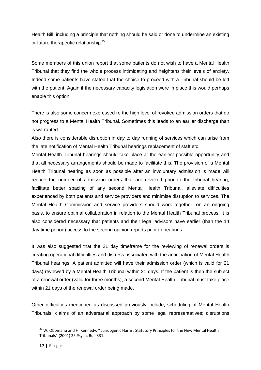Health Bill, including a principle that nothing should be said or done to undermine an existing or future therapeutic relationship.<sup>27</sup>

Some members of this union report that some patients do not wish to have a Mental Health Tribunal that they find the whole process intimidating and heightens their levels of anxiety. Indeed some patients have stated that the choice to proceed with a Tribunal should be left with the patient. Again if the necessary capacity legislation were in place this would perhaps enable this option.

There is also some concern expressed re the high level of revoked admission orders that do not progress to a Mental Health Tribunal. Sometimes this leads to an earlier discharge than is warranted.

Also there is considerable disruption in day to day running of services which can arise from the late notification of Mental Health Tribunal hearings replacement of staff etc.

Mental Health Tribunal hearings should take place at the earliest possible opportunity and that all necessary arrangements should be made to facilitate this. The provision of a Mental Health Tribunal hearing as soon as possible after an involuntary admission is made will reduce the number of admission orders that are revoked prior to the tribunal hearing, facilitate better spacing of any second Mental Health Tribunal, alleviate difficulties experienced by both patients and service providers and minimise disruption to services. The Mental Health Commission and service providers should work together, on an ongoing basis, to ensure optimal collaboration in relation to the Mental Health Tribunal process. It is also considered necessary that patients and their legal advisors have earlier (than the 14 day time period) access to the second opinion reports prior to hearings

It was also suggested that the 21 day timeframe for the reviewing of renewal orders is creating operational difficulties and distress associated with the anticipation of Mental Health Tribunal hearings. A patient admitted will have their admission order (which is valid for 21 days) reviewed by a Mental Health Tribunal within 21 days. If the patient is then the subject of a renewal order (valid for three months), a second Mental Health Tribunal must take place within 21 days of the renewal order being made.

Other difficulties mentioned as discussed previously include, scheduling of Mental Health Tribunals; claims of an adversarial approach by some legal representatives; disruptions

 $\overline{a}$  $27$  W. Obomanu and H. Kennedy, " Juridogenic Harm : Statutory Principles for the New Mental Health Tribunals" (2001) 25 Psych. Bull.331.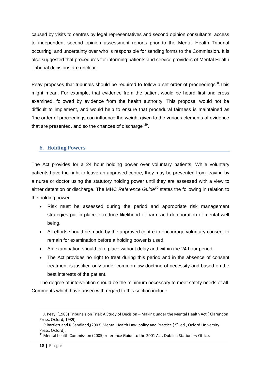caused by visits to centres by legal representatives and second opinion consultants; access to independent second opinion assessment reports prior to the Mental Health Tribunal occurring; and uncertainty over who is responsible for sending forms to the Commission. It is also suggested that procedures for informing patients and service providers of Mental Health Tribunal decisions are unclear.

Peay proposes that tribunals should be required to follow a set order of proceedings<sup>28</sup>. This might mean. For example, that evidence from the patient would be heard first and cross examined, followed by evidence from the health authority. This proposal would not be difficult to implement, and would help to ensure that procedural fairness is maintained as "the order of proceedings can influence the weight given to the various elements of evidence that are presented, and so the chances of discharge" $^{29}$ .

#### <span id="page-17-0"></span>**6. Holding Powers**

The Act provides for a 24 hour holding power over voluntary patients. While voluntary patients have the right to leave an approved centre, they may be prevented from leaving by a nurse or doctor using the statutory holding power until they are assessed with a view to either detention or discharge. The MHC *Reference Guide<sup>30</sup>* states the following in relation to the holding power:

- Risk must be assessed during the period and appropriate risk management strategies put in place to reduce likelihood of harm and deterioration of mental well being.
- All efforts should be made by the approved centre to encourage voluntary consent to remain for examination before a holding power is used.
- An examination should take place without delay and within the 24 hour period.
- The Act provides no right to treat during this period and in the absence of consent treatment is justified only under common law doctrine of necessity and based on the best interests of the patient.

The degree of intervention should be the minimum necessary to meet safety needs of all. Comments which have arisen with regard to this section include

J. Peay, (1983) Tribunals on Trial: A Study of Decision – Making under the Mental Health Act ( Clarendon Press, Oxford, 1989)

P.Bartlett and R.Sandland,(2003) Mental Health Law: policy and Practice (2<sup>nd</sup> ed., Oxford University Press, Oxford):

 $30$  Mental health Commission (2005) reference Guide to the 2001 Act. Dublin : Stationery Office.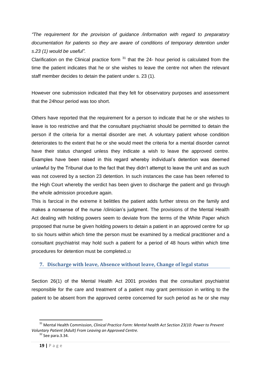*"The requirement for the provision of guidance /information with regard to preparatory documentation for patients so they are aware of conditions of temporary detention under s.23 (1) would be useful".*

Clarification on the Clinical practice form  $31$  that the 24- hour period is calculated from the time the patient indicates that he or she wishes to leave the centre not when the relevant staff member decides to detain the patient under s. 23 (1).

However one submission indicated that they felt for observatory purposes and assessment that the 24hour period was too short.

Others have reported that the requirement for a person to indicate that he or she wishes to leave is too restrictive and that the consultant psychiatrist should be permitted to detain the person if the criteria for a mental disorder are met. A voluntary patient whose condition deteriorates to the extent that he or she would meet the criteria for a mental disorder cannot have their status changed unless they indicate a wish to leave the approved centre. Examples have been raised in this regard whereby individual's detention was deemed unlawful by the Tribunal due to the fact that they didn't attempt to leave the unit and as such was not covered by a section 23 detention. In such instances the case has been referred to the High Court whereby the verdict has been given to discharge the patient and go through the whole admission procedure again.

This is farcical in the extreme it belittles the patient adds further stress on the family and makes a nonsense of the nurse /clinician's judgment. The provisions of the Mental Health Act dealing with holding powers seem to deviate from the terms of the White Paper which proposed that nurse be given holding powers to detain a patient in an approved centre for up to six hours within which time the person must be examined by a medical practitioner and a consultant psychiatrist may hold such a patient for a period of 48 hours within which time procedures for detention must be completed.32

# <span id="page-18-0"></span>**7. Discharge with leave, Absence without leave, Change of legal status**

Section 26(1) of the Mental Health Act 2001 provides that the consultant psychiatrist responsible for the care and treatment of a patient may grant permission in writing to the patient to be absent from the approved centre concerned for such period as he or she may

<sup>31</sup> Mental Health Commission, *Clinical Practice Form: Mental health Act Section 23(10: Power to Prevent Voluntary Patient (Adult) From Leaving an Approved Centre.*

 $32$  See para. 3.34.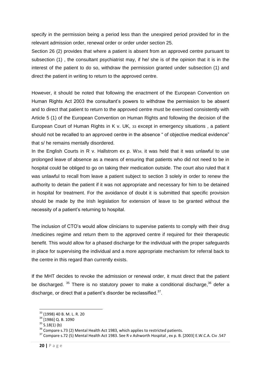specify in the permission being a period less than the unexpired period provided for in the relevant admission order, renewal order or order under section 25.

Section 26 (2) provides that where a patient is absent from an approved centre pursuant to subsection (1) , the consultant psychiatrist may, if he/ she is of the opinion that it is in the interest of the patient to do so, withdraw the permission granted under subsection (1) and direct the patient in writing to return to the approved centre.

However, it should be noted that following the enactment of the European Convention on Human Rights Act 2003 the consultant's powers to withdraw the permission to be absent and to direct that patient to return to the approved centre must be exercised consistently with Article 5 (1) of the European Convention on Human Rights and following the decision of the European Court of Human Rights in K v. UK, 33 except in emergency situations , a patient should not be recalled to an approved centre in the absence " of objective medical evidence" that s/ he remains mentally disordered.

In the English Courts in R v. Hallstrom ex p. W<sub>34</sub>, it was held that it was unlawful to use prolonged leave of absence as a means of ensuring that patients who did not need to be in hospital could be obliged to go on taking their medication outside. The court also ruled that it was unlawful to recall from leave a patient subject to section 3 solely in order to renew the authority to detain the patient if it was not appropriate and necessary for him to be detained in hospital for treatment. For the avoidance of doubt it is submitted that specific provision should be made by the Irish legislation for extension of leave to be granted without the necessity of a patient's returning to hospital.

The inclusion of CTO's would allow clinicians to supervise patients to comply with their drug /medicines regime and return them to the approved centre if required for their therapeutic benefit. This would allow for a phased discharge for the individual with the proper safeguards in place for supervising the individual and a more appropriate mechanism for referral back to the centre in this regard than currently exists.

If the MHT decides to revoke the admission or renewal order, it must direct that the patient be discharged.  $35$  There is no statutory power to make a conditional discharge,  $36$  defer a discharge, or direct that a patient's disorder be reclassified. $37$ .

<sup>33</sup> (1998) 40 B. M. L. R. 20

<sup>34</sup> [1986] Q. B. 1090

 $35$  S.18(1) (b)

 $36$  Compare s.73 (2) Mental Health Act 1983, which applies to restricted patients.

<sup>37</sup> Compare s.72 (5) Mental Health Act 1983. See R v Ashworth Hospital , ex p. B. [2003] E.W.C.A. Civ .547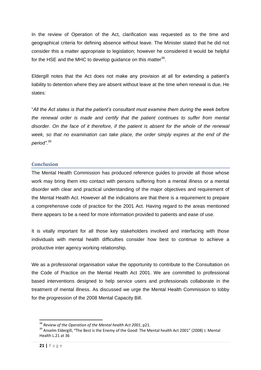In the review of Operation of the Act, clarification was requested as to the time and geographical criteria for defining absence without leave. The Minister stated that he did not consider this a matter appropriate to legislation; however he considered it would be helpful for the HSE and the MHC to develop guidance on this matter $^{38}$ .

Eldergill notes that the Act does not make any provision at all for extending a patient's liability to detention where they are absent without leave at the time when renewal is due. He states:

"*All the Act states is that the patient"s consultant must examine them during the week before the renewal order is made and certify that the patient continues to suffer from mental disorder. On the face of it therefore, if the patient is absent for the whole of the renewal week, so that no examination can take place, the order simply expires at the end of the period".*<sup>39</sup>

#### <span id="page-20-0"></span>**Conclusion**

The Mental Health Commission has produced reference guides to provide all those whose work may bring them into contact with persons suffering from a mental illness or a mental disorder with clear and practical understanding of the major objectives and requirement of the Mental Health Act. However all the indications are that there is a requirement to prepare a comprehensive code of practice for the 2001 Act. Having regard to the areas mentioned there appears to be a need for more information provided to patients and ease of use.

It is vitally important for all those key stakeholders involved and interfacing with those individuals with mental health difficulties consider how best to continue to achieve a productive inter agency working relationship.

We as a professional organisation value the opportunity to contribute to the Consultation on the Code of Practice on the Mental Health Act 2001. We are committed to professional based interventions designed to help service users and professionals collaborate in the treatment of mental illness. As discussed we urge the Mental Health Commission to lobby for the progression of the 2008 Mental Capacity Bill.

<sup>38</sup> *Review of the Operation of the Mental health Act 2001*, p21.

<sup>39</sup> Anselm Eldergill, "The Best is the Enemy of the Good: The Mental health Act 2001" (2008) J. Mental Health L.21 at 36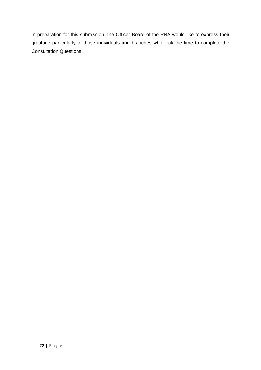In preparation for this submission The Officer Board of the PNA would like to express their gratitude particularly to those individuals and branches who took the time to complete the Consultation Questions.